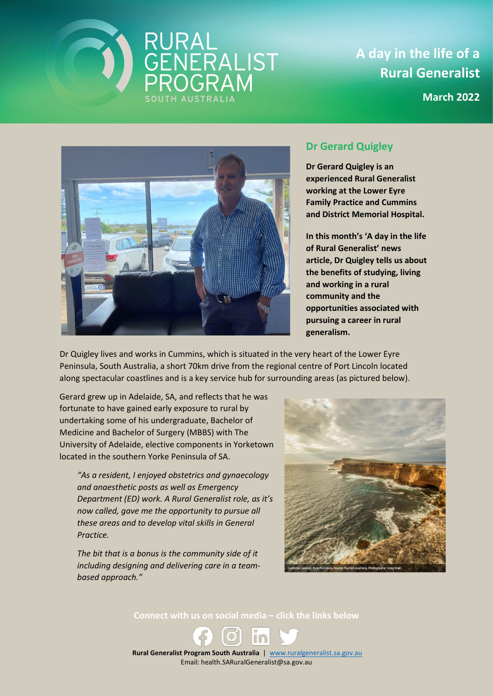

**A day in the life of a Rural Generalist**

**March 2022**



## **Dr Gerard Quigley**

**Dr Gerard Quigley is an experienced Rural Generalist working at the Lower Eyre Family Practice and Cummins and District Memorial Hospital.** 

**In this month's 'A day in the life of Rural Generalist' news article, Dr Quigley tells us about the benefits of studying, living and working in a rural community and the opportunities associated with pursuing a career in rural generalism.**

Dr Quigley lives and works in Cummins, which is situated in the very heart of the Lower Eyre Peninsula, South Australia, a short 70km drive from the regional centre of Port Lincoln located along spectacular coastlines and is a key service hub for surrounding areas (as pictured below).

Gerard grew up in Adelaide, SA, and reflects that he was fortunate to have gained early exposure to rural by undertaking some of his undergraduate, Bachelor of Medicine and Bachelor of Surgery (MBBS) with The University of Adelaide, elective components in Yorketown located in the southern Yorke Peninsula of SA.

*"As a resident, I enjoyed obstetrics and gynaecology and anaesthetic posts as well as Emergency Department (ED) work. A Rural Generalist role, as it's now called, gave me the opportunity to pursue all these areas and to develop vital skills in General Practice.*

*The bit that is a bonus is the community side of it including designing and delivering care in a teambased approach."*



**Connect with us on social media – click the links below**

 **Rural Generalist Program South Australia** | [www.ruralgeneralist.sa.gov.au](http://www.ruralgeneralist.sa.gov.au/) Email: health.SARuralGeneralist@sa.gov.au